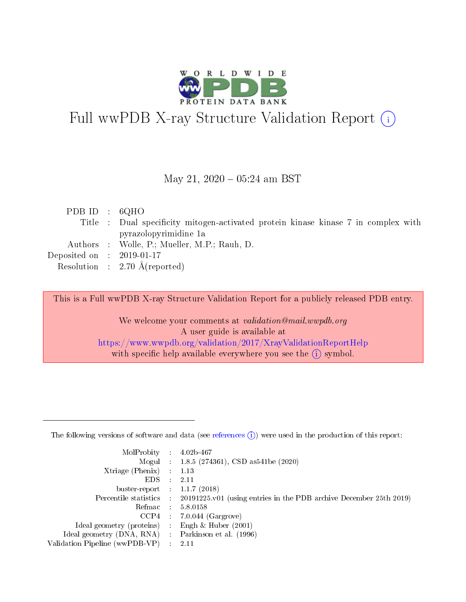

# Full wwPDB X-ray Structure Validation Report (i)

#### May 21,  $2020 - 05:24$  am BST

| PDB ID : $6QHO$                      |                                                                                    |
|--------------------------------------|------------------------------------------------------------------------------------|
|                                      | Title : Dual specificity mitogen-activated protein kinase kinase 7 in complex with |
|                                      | pyrazolopyrimidine 1a                                                              |
|                                      | Authors : Wolle, P.; Mueller, M.P.; Rauh, D.                                       |
| Deposited on $\therefore$ 2019-01-17 |                                                                                    |
|                                      | Resolution : $2.70 \text{ Å}$ (reported)                                           |

This is a Full wwPDB X-ray Structure Validation Report for a publicly released PDB entry.

We welcome your comments at validation@mail.wwpdb.org A user guide is available at <https://www.wwpdb.org/validation/2017/XrayValidationReportHelp> with specific help available everywhere you see the  $(i)$  symbol.

The following versions of software and data (see [references](https://www.wwpdb.org/validation/2017/XrayValidationReportHelp#references)  $(1)$ ) were used in the production of this report:

| MolProbity : 4.02b-467         |   |                                                                                              |
|--------------------------------|---|----------------------------------------------------------------------------------------------|
|                                |   | Mogul : 1.8.5 (274361), CSD as 541be (2020)                                                  |
| $X$ triage (Phenix) :          |   | 1.13                                                                                         |
| EDS.                           |   | 2.11                                                                                         |
| buster-report : $1.1.7$ (2018) |   |                                                                                              |
|                                |   | Percentile statistics : $20191225.v01$ (using entries in the PDB archive December 25th 2019) |
| Refmac :                       |   | 5.8.0158                                                                                     |
| CCP4                           |   | $7.0.044$ (Gargrove)                                                                         |
| Ideal geometry (proteins) :    |   | Engh $\&$ Huber (2001)                                                                       |
| Ideal geometry (DNA, RNA) :    |   | Parkinson et al. (1996)                                                                      |
| Validation Pipeline (wwPDB-VP) | ÷ | -2.11                                                                                        |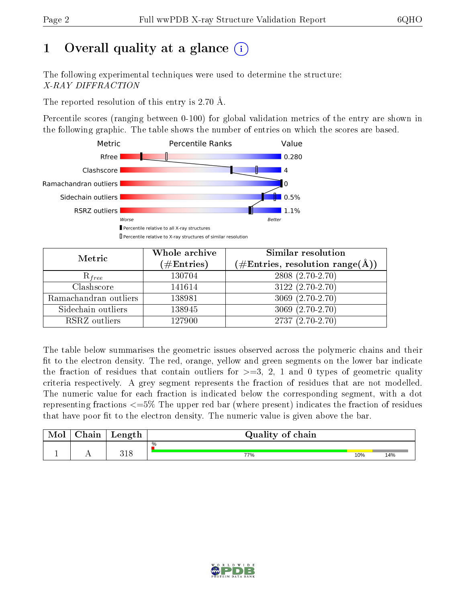## 1 [O](https://www.wwpdb.org/validation/2017/XrayValidationReportHelp#overall_quality)verall quality at a glance  $(i)$

The following experimental techniques were used to determine the structure: X-RAY DIFFRACTION

The reported resolution of this entry is 2.70 Å.

Percentile scores (ranging between 0-100) for global validation metrics of the entry are shown in the following graphic. The table shows the number of entries on which the scores are based.



| Metric                | Whole archive<br>$(\#\mathrm{Entries})$ | Similar resolution<br>$(\#\text{Entries},\, \text{resolution}\; \text{range}(\textup{\AA}))$ |  |  |
|-----------------------|-----------------------------------------|----------------------------------------------------------------------------------------------|--|--|
| $R_{free}$            | 130704                                  | 2808 (2.70-2.70)                                                                             |  |  |
| Clashscore            | 141614                                  | $3122(2.70-2.70)$                                                                            |  |  |
| Ramachandran outliers | 138981                                  | $3069(2.70-2.70)$                                                                            |  |  |
| Sidechain outliers    | 138945                                  | $3069(2.70-2.70)$                                                                            |  |  |
| RSRZ outliers         | 127900                                  | $2737(2.70-2.70)$                                                                            |  |  |

The table below summarises the geometric issues observed across the polymeric chains and their fit to the electron density. The red, orange, yellow and green segments on the lower bar indicate the fraction of residues that contain outliers for  $>=3, 2, 1$  and 0 types of geometric quality criteria respectively. A grey segment represents the fraction of residues that are not modelled. The numeric value for each fraction is indicated below the corresponding segment, with a dot representing fractions  $\epsilon=5\%$  The upper red bar (where present) indicates the fraction of residues that have poor fit to the electron density. The numeric value is given above the bar.

| Mol | $\cap$ hain | Length | Quality of chain |     |     |
|-----|-------------|--------|------------------|-----|-----|
|     |             |        | %                |     |     |
|     |             | 318    | 77%              | 10% | 14% |

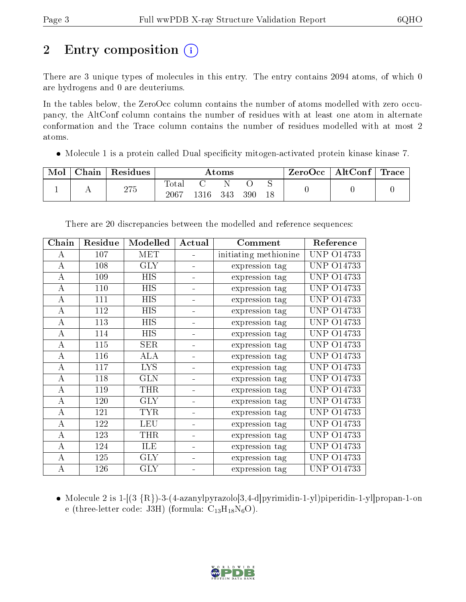# 2 Entry composition  $\left( \cdot \right)$

There are 3 unique types of molecules in this entry. The entry contains 2094 atoms, of which 0 are hydrogens and 0 are deuteriums.

In the tables below, the ZeroOcc column contains the number of atoms modelled with zero occupancy, the AltConf column contains the number of residues with at least one atom in alternate conformation and the Trace column contains the number of residues modelled with at most 2 atoms.

• Molecule 1 is a protein called Dual specificity mitogen-activated protein kinase kinase 7.

| Mol | Chain | Residues | Atoms                       |      |     |     | $\rm{ZeroOcc} \mid \rm{AltConf} \mid \rm{Trace}$ |  |  |
|-----|-------|----------|-----------------------------|------|-----|-----|--------------------------------------------------|--|--|
|     |       | 275      | $\mathrm{Tota}$<br>$2067\,$ | 1316 | 343 | 390 |                                                  |  |  |

| Chain            | Residue | Modelled   | Actual | Comment               | Reference         |
|------------------|---------|------------|--------|-----------------------|-------------------|
| A                | 107     | <b>MET</b> |        | initiating methionine | <b>UNP 014733</b> |
| $\boldsymbol{A}$ | 108     | <b>GLY</b> |        | expression tag        | <b>UNP 014733</b> |
| А                | 109     | <b>HIS</b> |        | expression tag        | <b>UNP 014733</b> |
| A                | 110     | <b>HIS</b> |        | expression tag        | UNP 014733        |
| A                | 111     | HIS        |        | expression tag        | <b>UNP 014733</b> |
| A                | 112     | HIS        |        | expression tag        | <b>UNP 014733</b> |
| A                | 113     | <b>HIS</b> |        | expression tag        | <b>UNP 014733</b> |
| Α                | 114     | HIS        |        | expression tag        | UNP 014733        |
| $\bf{A}$         | 115     | <b>SER</b> |        | expression tag        | <b>UNP 014733</b> |
| A                | 116     | ALA        |        | expression tag        | <b>UNP 014733</b> |
| A                | 117     | <b>LYS</b> |        | expression tag        | <b>UNP 014733</b> |
| A                | 118     | <b>GLN</b> |        | expression tag        | UNP 014733        |
| A                | 119     | THR        |        | expression tag        | UNP 014733        |
| A                | 120     | <b>GLY</b> |        | expression tag        | UNP 014733        |
| Α                | 121     | <b>TYR</b> |        | expression tag        | <b>UNP 014733</b> |
| A                | 122     | <b>LEU</b> |        | expression tag        | <b>UNP 014733</b> |
| A                | 123     | THR        |        | expression tag        | UNP 014733        |
| A                | 124     | ILE        |        | expression tag        | O14733<br>UNP     |
| A                | 125     | <b>GLY</b> |        | expression tag        | UNP 014733        |
| A                | 126     | <b>GLY</b> |        | expression tag        | <b>UNP 014733</b> |

There are 20 discrepancies between the modelled and reference sequences:

• Molecule 2 is  $1-[3 {R}]$ -3-(4-azanylpyrazolo[3,4-d]pyrimidin-1-yl]piperidin-1-yl]propan-1-on e (three-letter code: J3H) (formula:  $C_{13}H_{18}N_6O$ ).

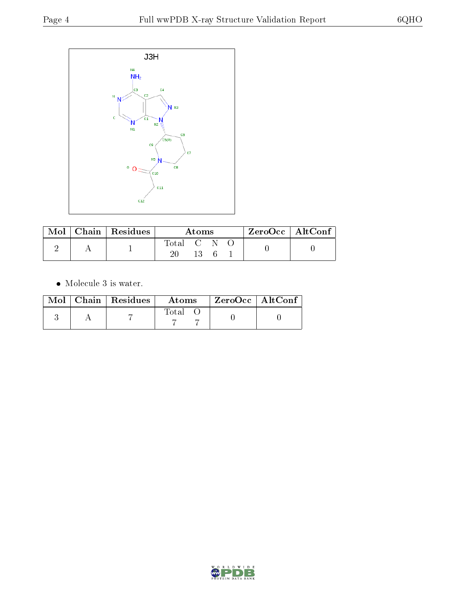

|  | $\text{Mol}$   Chain   Residues | Atoms     |  |  |  | $ZeroOcc \   \$ AltConf |
|--|---------------------------------|-----------|--|--|--|-------------------------|
|  |                                 | Total C N |  |  |  |                         |
|  |                                 |           |  |  |  |                         |

• Molecule 3 is water.

|  | $Mol$   Chain   Residues | Atoms | $ZeroOcc \mid AltConf$ |  |
|--|--------------------------|-------|------------------------|--|
|  |                          | Total |                        |  |

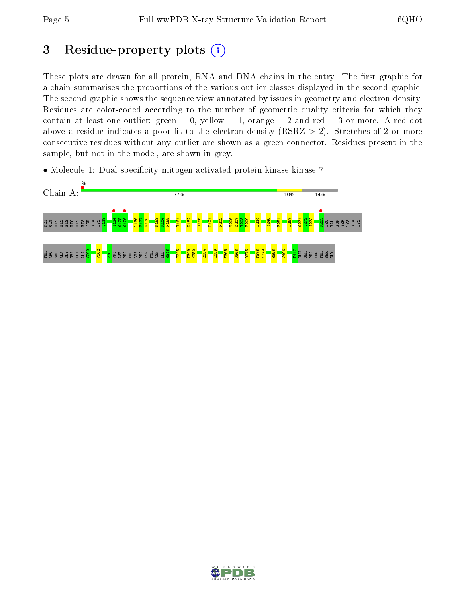## 3 Residue-property plots  $(i)$

These plots are drawn for all protein, RNA and DNA chains in the entry. The first graphic for a chain summarises the proportions of the various outlier classes displayed in the second graphic. The second graphic shows the sequence view annotated by issues in geometry and electron density. Residues are color-coded according to the number of geometric quality criteria for which they contain at least one outlier: green  $= 0$ , yellow  $= 1$ , orange  $= 2$  and red  $= 3$  or more. A red dot above a residue indicates a poor fit to the electron density (RSRZ  $> 2$ ). Stretches of 2 or more consecutive residues without any outlier are shown as a green connector. Residues present in the sample, but not in the model, are shown in grey.

• Molecule 1: Dual specificity mitogen-activated protein kinase kinase 7



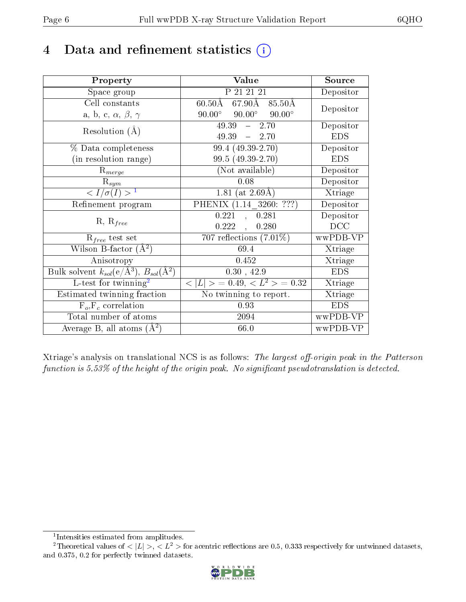## 4 Data and refinement statistics  $(i)$

| Property                                                   | Value                                                       | Source     |
|------------------------------------------------------------|-------------------------------------------------------------|------------|
| Space group                                                | P 21 21 21                                                  | Depositor  |
| Cell constants                                             | $67.90\text{\AA}$ $85.50\text{\AA}$<br>$60.50 \textup{\AA}$ | Depositor  |
| a, b, c, $\alpha$ , $\beta$ , $\gamma$                     | $90.00^\circ$<br>$90.00^\circ$<br>$90.00^\circ$             |            |
| Resolution $(A)$                                           | 49.39<br>$-2.70$                                            | Depositor  |
|                                                            | $49.39 - 2.70$                                              | <b>EDS</b> |
| % Data completeness                                        | $99.4(49.39-2.70)$                                          | Depositor  |
| (in resolution range)                                      | 99.5 (49.39-2.70)                                           | <b>EDS</b> |
| $R_{merge}$                                                | (Not available)                                             | Depositor  |
| $\mathrm{R}_{sym}$                                         | 0.08                                                        | Depositor  |
| $\langle I/\sigma(I) \rangle^{-1}$                         | 1.81 (at $2.69\text{\AA}$ )                                 | Xtriage    |
| Refinement program                                         | PHENIX (1.14 3260: ???)                                     | Depositor  |
|                                                            | 0.221<br>0.281<br>$\mathbf{A}$                              | Depositor  |
| $R, R_{free}$                                              | 0.222<br>0.280<br>$\ddot{\phantom{a}}$                      | DCC        |
| $R_{free}$ test set                                        | 707 reflections $(7.01\%)$                                  | wwPDB-VP   |
| Wilson B-factor $(A^2)$                                    | 69.4                                                        | Xtriage    |
| Anisotropy                                                 | 0.452                                                       | Xtriage    |
| Bulk solvent $k_{sol}$ (e/Å <sup>3</sup> ), $B_{sol}(A^2)$ | 0.30, 42.9                                                  | <b>EDS</b> |
| L-test for $\mathrm{twinning}^2$                           | $< L >$ = 0.49, $< L^2 >$ = 0.32                            | Xtriage    |
| Estimated twinning fraction                                | No twinning to report.                                      | Xtriage    |
| $\overline{F_o}, \overline{F_c}$ correlation               | 0.93                                                        | <b>EDS</b> |
| Total number of atoms                                      | 2094                                                        | wwPDB-VP   |
| Average B, all atoms $(A^2)$                               | 66.0                                                        | wwPDB-VP   |

Xtriage's analysis on translational NCS is as follows: The largest off-origin peak in the Patterson function is  $5.53\%$  of the height of the origin peak. No significant pseudotranslation is detected.

<sup>&</sup>lt;sup>2</sup>Theoretical values of  $\langle |L| \rangle$ ,  $\langle L^2 \rangle$  for acentric reflections are 0.5, 0.333 respectively for untwinned datasets, and 0.375, 0.2 for perfectly twinned datasets.



<span id="page-5-1"></span><span id="page-5-0"></span><sup>1</sup> Intensities estimated from amplitudes.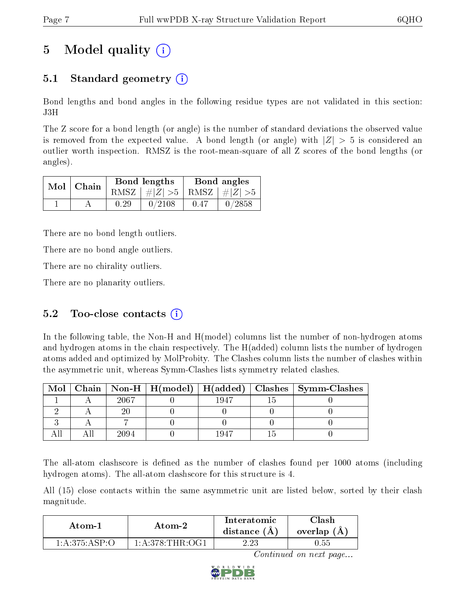## 5 Model quality  $(i)$

### 5.1 Standard geometry  $\overline{()}$

Bond lengths and bond angles in the following residue types are not validated in this section: J3H

The Z score for a bond length (or angle) is the number of standard deviations the observed value is removed from the expected value. A bond length (or angle) with  $|Z| > 5$  is considered an outlier worth inspection. RMSZ is the root-mean-square of all Z scores of the bond lengths (or angles).

| $Mol$   Chain |      | Bond lengths                    | Bond angles |        |  |
|---------------|------|---------------------------------|-------------|--------|--|
|               |      | RMSZ $ #Z  > 5$ RMSZ $ #Z  > 5$ |             |        |  |
|               | 0.29 | 0/2108                          | 0.47        | 0/2858 |  |

There are no bond length outliers.

There are no bond angle outliers.

There are no chirality outliers.

There are no planarity outliers.

#### 5.2 Too-close contacts  $(i)$

In the following table, the Non-H and H(model) columns list the number of non-hydrogen atoms and hydrogen atoms in the chain respectively. The H(added) column lists the number of hydrogen atoms added and optimized by MolProbity. The Clashes column lists the number of clashes within the asymmetric unit, whereas Symm-Clashes lists symmetry related clashes.

| Mol |      |      | $\mid$ Chain $\mid$ Non-H $\mid$ H(model) $\mid$ H(added) $\mid$ Clashes $\mid$ Symm-Clashes $\mid$ |
|-----|------|------|-----------------------------------------------------------------------------------------------------|
|     | 2067 | 1947 |                                                                                                     |
|     |      |      |                                                                                                     |
|     |      |      |                                                                                                     |
|     |      | 1047 |                                                                                                     |

The all-atom clashscore is defined as the number of clashes found per 1000 atoms (including hydrogen atoms). The all-atom clashscore for this structure is 4.

All (15) close contacts within the same asymmetric unit are listed below, sorted by their clash magnitude.

| Atom-1          | Atom-2                                    | Interatomic<br>distance $(A)$ | 7lash<br>overlap (A) |
|-----------------|-------------------------------------------|-------------------------------|----------------------|
| 1: A:375: ASP:O | $1 \cdot A \cdot 378 \cdot THR \cdot OGL$ | າາ                            | 0.55                 |

Continued on next page...

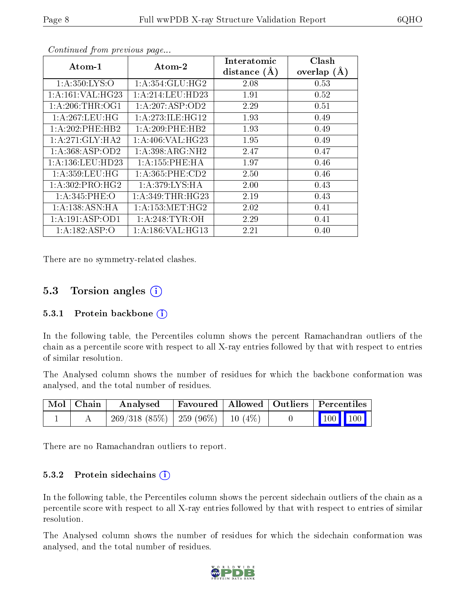| Atom-1                       | Atom-2               | Interatomic    | Clash         |
|------------------------------|----------------------|----------------|---------------|
|                              |                      | distance $(A)$ | overlap $(A)$ |
| 1: A:350: LYS:O              | 1: A:354: GLU:HG2    | 2.08           | 0.53          |
| 1: A:161: VAL:HG23           | 1: A:214:LEU:HD23    | 1.91           | 0.52          |
| 1: A:206:THR:OG1             | 1:A:207:ASP:OD2      | 2.29           | 0.51          |
| 1:A:267:LEU:HG               | 1: A:273: ILE: HG12  | 1.93           | 0.49          |
| 1:A:202:PHE:HB2              | $1: A:209:$ PHE:HB2  | 1.93           | 0.49          |
| $1:A:271:GLY:H\overline{A2}$ | 1: A:406: VAL:HG23   | 1.95           | 0.49          |
| 1:A:368:ASP:OD2              | 1: A:398: ARG: NH2   | 2.47           | 0.47          |
| 1: A: 136: LEU: HD23         | 1: A: 155: PHE: HA   | 1.97           | 0.46          |
| 1: A:359:LEU:HG              | 1: A: 365: PHE: CD2  | 2.50           | 0.46          |
| 1:A:302:PRO:HG2              | 1: A:379: LYS: HA    | 2.00           | 0.43          |
| 1: A:345: PHE:O              | 1:A:349:THR:HG23     | 2.19           | 0.43          |
| $1:A:138:ASN:\overline{HA}$  | 1: A: 153: MET:HG2   | 2.02           | 0.41          |
| 1:A:191:ASP:OD1              | 1: A:248: TYR:OH     | 2.29           | 0.41          |
| $1:A:182:AS\overline{P:O}$   | 1: A: 186: VAL: HG13 | 2.21           | 0.40          |

Continued from previous page...

There are no symmetry-related clashes.

#### 5.3 Torsion angles (i)

#### 5.3.1 Protein backbone  $(i)$

In the following table, the Percentiles column shows the percent Ramachandran outliers of the chain as a percentile score with respect to all X-ray entries followed by that with respect to entries of similar resolution.

The Analysed column shows the number of residues for which the backbone conformation was analysed, and the total number of residues.

| Mol   Chain | Analysed                                 | Favoured   Allowed   Outliers   Percentiles |  |                     |
|-------------|------------------------------------------|---------------------------------------------|--|---------------------|
|             | $269/318$ (85\%)   259 (96\%)   10 (4\%) |                                             |  | $\boxed{100}$ $100$ |

There are no Ramachandran outliers to report.

#### 5.3.2 Protein sidechains  $(i)$

In the following table, the Percentiles column shows the percent sidechain outliers of the chain as a percentile score with respect to all X-ray entries followed by that with respect to entries of similar resolution.

The Analysed column shows the number of residues for which the sidechain conformation was analysed, and the total number of residues.

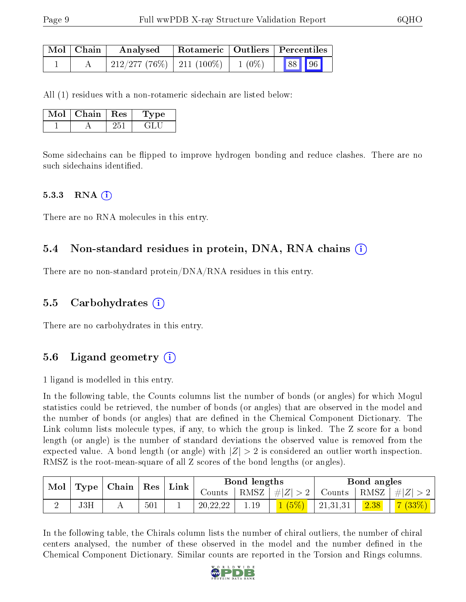| Mol   Chain | Analysed                            |  | Rotameric   Outliers   Percentiles |       |  |
|-------------|-------------------------------------|--|------------------------------------|-------|--|
|             | 212/277 (76%)   211 (100%)   1 (0%) |  |                                    | 88 96 |  |

All (1) residues with a non-rotameric sidechain are listed below:

| Mol | Chain | $\parallel$ Res | <b>Type</b>   |
|-----|-------|-----------------|---------------|
|     |       |                 | $\mathcal{L}$ |

Some sidechains can be flipped to improve hydrogen bonding and reduce clashes. There are no such sidechains identified.

#### $5.3.3$  RNA  $(i)$

There are no RNA molecules in this entry.

### 5.4 Non-standard residues in protein, DNA, RNA chains (i)

There are no non-standard protein/DNA/RNA residues in this entry.

#### 5.5 Carbohydrates (i)

There are no carbohydrates in this entry.

### 5.6 Ligand geometry (i)

1 ligand is modelled in this entry.

In the following table, the Counts columns list the number of bonds (or angles) for which Mogul statistics could be retrieved, the number of bonds (or angles) that are observed in the model and the number of bonds (or angles) that are defined in the Chemical Component Dictionary. The Link column lists molecule types, if any, to which the group is linked. The Z score for a bond length (or angle) is the number of standard deviations the observed value is removed from the expected value. A bond length (or angle) with  $|Z| > 2$  is considered an outlier worth inspection. RMSZ is the root-mean-square of all Z scores of the bond lengths (or angles).

| Mol<br>$\,$ Chain $\,$<br>Type |     |  | $^+$ Res |  |          | Link |         | Bond lengths |      |           | Bond angles |  |
|--------------------------------|-----|--|----------|--|----------|------|---------|--------------|------|-----------|-------------|--|
|                                |     |  |          |  | Counts   | RMSZ | $\# Z $ | Counts       | RMSZ | Z <br>#   |             |  |
|                                | J3H |  | 501      |  | 20,22,22 |      |         | 21,31,31     | 2.38 | $7(33\%)$ |             |  |

In the following table, the Chirals column lists the number of chiral outliers, the number of chiral centers analysed, the number of these observed in the model and the number defined in the Chemical Component Dictionary. Similar counts are reported in the Torsion and Rings columns.

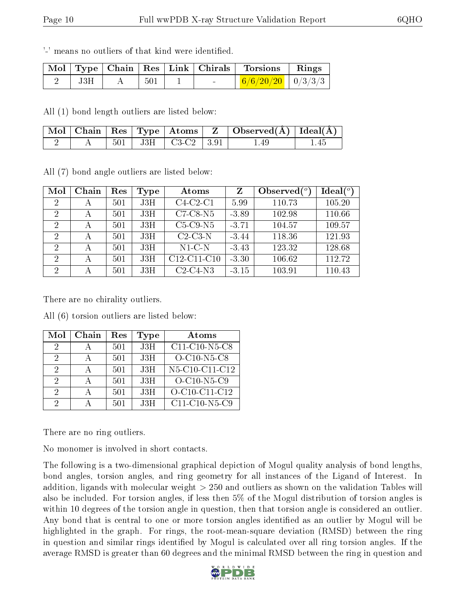'-' means no outliers of that kind were identified.

|     |     |  | Mol   Type   Chain   Res   Link   Chirals   Torsions   Rings                       |  |
|-----|-----|--|------------------------------------------------------------------------------------|--|
| J3H | 501 |  | $\begin{array}{ c c c c c c c c } \hline 6/6/20/20 & 0/3/3/3 \ \hline \end{array}$ |  |

All (1) bond length outliers are listed below:

|  |  |                            | $\mid$ Mol $\mid$ Chain $\mid$ Res $\mid$ Type $\mid$ Atoms $\mid$ Z $\mid$ Observed(A) $\mid$ Ideal(A) $\mid$ |     |
|--|--|----------------------------|----------------------------------------------------------------------------------------------------------------|-----|
|  |  | $501$   J3H   C3-C2   3.91 | 1.49                                                                                                           | -45 |

All (7) bond angle outliers are listed below:

| Mol            | Chain | Res | Type | Atoms         | Z       | Observed $(°)$ | $\text{Ideal}({}^o)$ |
|----------------|-------|-----|------|---------------|---------|----------------|----------------------|
| -2             |       | 501 | J3H  | $C4-C2-C1$    | 5.99    | 110.73         | 105.20               |
| $\overline{2}$ | А     | 501 | J3H  | $C7-C8-N5$    | $-3.89$ | 102.98         | 110.66               |
| $\overline{2}$ |       | 501 | J3H  | $C5-C9-N5$    | $-3.71$ | 104.57         | 109.57               |
| $\overline{2}$ | А     | 501 | J3H  | $C2-C3-N$     | $-3.44$ | 118.36         | 121.93               |
| $\overline{2}$ |       | 501 | J3H  | $N1-C-N$      | $-3.43$ | 123.32         | 128.68               |
| 2              |       | 501 | J3H  | $C12-C11-C10$ | $-3.30$ | 106.62         | 112.72               |
| $\overline{2}$ | А     | 501 | J3H  | $C2-C4-N3$    | $-3.15$ | 103.91         | 110.43               |

There are no chirality outliers.

All (6) torsion outliers are listed below:

| Mol           | Chain | Res | <b>Type</b> | Atoms           |
|---------------|-------|-----|-------------|-----------------|
| 2             |       | 501 | J3H         | $C11-C10-N5-C8$ |
| 2             |       | 501 | J3H         | $O-C10-N5-C8$   |
| 2             |       | 501 | J3H         | N5-C10-C11-C12  |
| $\mathcal{D}$ |       | 501 | J3H         | $O-C10-N5-C9$   |
| 9.            |       | 501 | J3H         | O-C10-C11-C12   |
| 2             |       | 501 | J3H         | $C11-C10-N5-C9$ |

There are no ring outliers.

No monomer is involved in short contacts.

The following is a two-dimensional graphical depiction of Mogul quality analysis of bond lengths, bond angles, torsion angles, and ring geometry for all instances of the Ligand of Interest. In addition, ligands with molecular weight > 250 and outliers as shown on the validation Tables will also be included. For torsion angles, if less then 5% of the Mogul distribution of torsion angles is within 10 degrees of the torsion angle in question, then that torsion angle is considered an outlier. Any bond that is central to one or more torsion angles identified as an outlier by Mogul will be highlighted in the graph. For rings, the root-mean-square deviation (RMSD) between the ring in question and similar rings identified by Mogul is calculated over all ring torsion angles. If the average RMSD is greater than 60 degrees and the minimal RMSD between the ring in question and

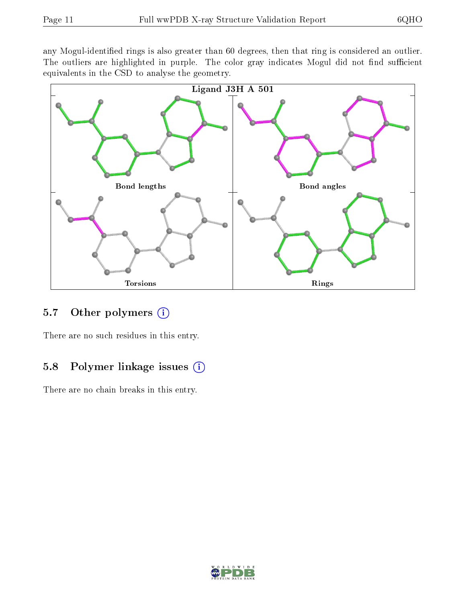any Mogul-identified rings is also greater than 60 degrees, then that ring is considered an outlier. The outliers are highlighted in purple. The color gray indicates Mogul did not find sufficient equivalents in the CSD to analyse the geometry.



#### 5.7 [O](https://www.wwpdb.org/validation/2017/XrayValidationReportHelp#nonstandard_residues_and_ligands)ther polymers  $(i)$

There are no such residues in this entry.

#### 5.8 Polymer linkage issues  $(i)$

There are no chain breaks in this entry.

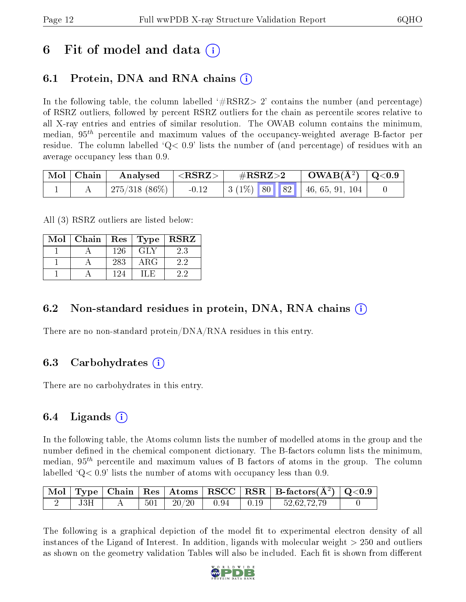### 6 Fit of model and data  $(i)$

### 6.1 Protein, DNA and RNA chains (i)

In the following table, the column labelled  $#RSRZ>2'$  contains the number (and percentage) of RSRZ outliers, followed by percent RSRZ outliers for the chain as percentile scores relative to all X-ray entries and entries of similar resolution. The OWAB column contains the minimum, median,  $95<sup>th</sup>$  percentile and maximum values of the occupancy-weighted average B-factor per residue. The column labelled  $Q < 0.9$  lists the number of (and percentage) of residues with an average occupancy less than 0.9.

| $\mid$ Mol $\mid$ Chain | $\boldsymbol{\mathrm{Analysed}}$ | $  <$ RSRZ $>$ . | $\rm \#RSRZ{>}2$ |  | $\rm OWAB(A^2)$   Q<0.9                                                        |  |
|-------------------------|----------------------------------|------------------|------------------|--|--------------------------------------------------------------------------------|--|
|                         | 275/318 $(86\%)$                 | $-0.12$          |                  |  | $\mid 3 \ (1\%) \ \mid 80 \ \mid \mid 82 \ \mid \ \mid 46, 65, 91, 104 \ \mid$ |  |

All (3) RSRZ outliers are listed below:

| Mol | Chain |     | $\mid$ Res $\mid$ Type | $\mid$ RSRZ |
|-----|-------|-----|------------------------|-------------|
|     |       | 126 | <b>GLY</b>             | 2.3         |
|     |       | 283 | ARG                    | 2.2         |
|     |       | 194 | 11.E.                  | 22          |

### 6.2 Non-standard residues in protein, DNA, RNA chains  $(i)$

There are no non-standard protein/DNA/RNA residues in this entry.

### 6.3 Carbohydrates (i)

There are no carbohydrates in this entry.

### 6.4 Ligands  $(i)$

In the following table, the Atoms column lists the number of modelled atoms in the group and the number defined in the chemical component dictionary. The B-factors column lists the minimum, median,  $95<sup>th</sup>$  percentile and maximum values of B factors of atoms in the group. The column labelled  $Q< 0.9$  lists the number of atoms with occupancy less than 0.9.

|     |     |                   |              |                                                      | Mol   Type   Chain   Res   Atoms   RSCC   RSR   B-factors $(A^2)$   Q<0.9 |  |
|-----|-----|-------------------|--------------|------------------------------------------------------|---------------------------------------------------------------------------|--|
| J3H | 501 | $\frac{1}{20/20}$ | $\vert$ 0.94 | $\begin{array}{c} \begin{array}{c} \end{array}$ 0.19 | 52,62,72,79                                                               |  |

The following is a graphical depiction of the model fit to experimental electron density of all instances of the Ligand of Interest. In addition, ligands with molecular weight > 250 and outliers as shown on the geometry validation Tables will also be included. Each fit is shown from different